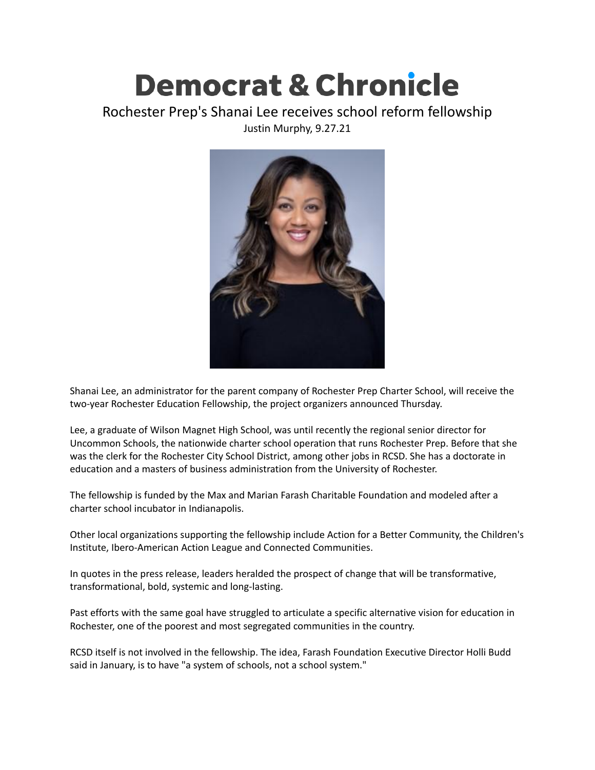## **Democrat & Chronicle**

## Rochester Prep's Shanai Lee receives school reform fellowship Justin Murphy, 9.27.21



Shanai Lee, an administrator for the parent company of Rochester Prep Charter School, will receive the two-year Rochester Education Fellowship, the project organizers announced Thursday.

Lee, a graduate of Wilson Magnet High School, was until recently the regional senior director for Uncommon Schools, the nationwide charter school operation that runs Rochester Prep. Before that she was the clerk for the Rochester City School District, among other jobs in RCSD. She has a doctorate in education and a masters of business administration from the University of Rochester.

The fellowship is funded by the Max and Marian Farash Charitable Foundation and modeled after a charter school incubator in Indianapolis.

Other local organizations supporting the fellowship include Action for a Better Community, the Children's Institute, Ibero-American Action League and Connected Communities.

In quotes in the press release, leaders heralded the prospect of change that will be transformative, transformational, bold, systemic and long-lasting.

Past efforts with the same goal have struggled to articulate a specific alternative vision for education in Rochester, one of the poorest and most segregated communities in the country.

RCSD itself is not involved in the fellowship. The idea, Farash Foundation Executive Director Holli Budd said in January, is to have "a system of schools, not a school system."